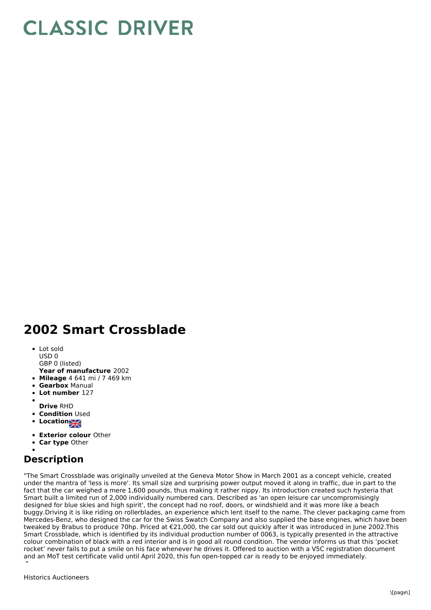## **CLASSIC DRIVER**

## **2002 Smart Crossblade**

- Lot sold USD 0 GBP 0 (listed)
- **Year of manufacture** 2002
- **Mileage** 4 641 mi / 7 469 km
- **Gearbox** Manual
- **Lot number** 127
- 
- **Drive** RHD
- **Condition Used**
- **Location**
- **Exterior colour** Other
- **Car type** Other
- 

## **Description**

"The Smart Crossblade was originally unveiled at the Geneva Motor Show in March 2001 as a concept vehicle, created under the mantra of 'less is more'. Its small size and surprising power output moved it along in traffic, due in part to the fact that the car weighed a mere 1,600 pounds, thus making it rather nippy. Its introduction created such hysteria that Smart built a limited run of 2,000 individually numbered cars. Described as 'an open leisure car uncompromisingly designed for blue skies and high spirit', the concept had no roof, doors, or windshield and it was more like a beach buggy.Driving it is like riding on rollerblades, an experience which lent itself to the name. The clever packaging came from Mercedes-Benz, who designed the car for the Swiss Swatch Company and also supplied the base engines, which have been tweaked by Brabus to produce 70hp. Priced at €21,000, the car sold out quickly after it was introduced in June 2002.This Smart Crossblade, which is identified by its individual production number of 0063, is typically presented in the attractive colour combination of black with a red interior and is in good all round condition. The vendor informs us that this 'pocket rocket' never fails to put a smile on his face whenever he drives it. Offered to auction with a V5C registration document and an MoT test certificate valid until April 2020, this fun open-topped car is ready to be enjoyed immediately. "